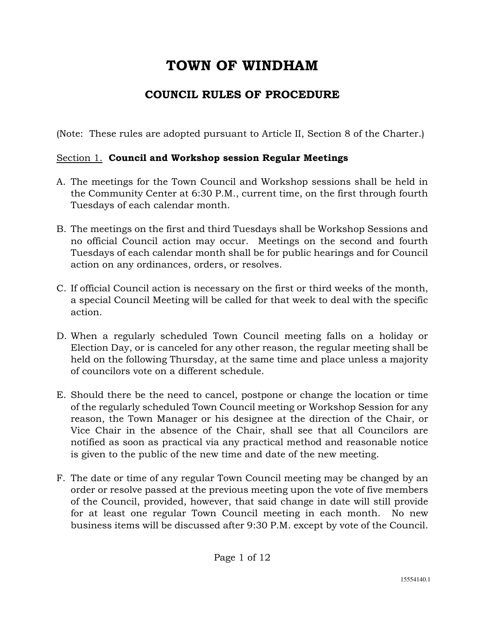# **TOWN OF WINDHAM**

# **COUNCIL RULES OF PROCEDURE**

(Note: These rules are adopted pursuant to Article II, Section 8 of the Charter.)

# Section 1. **Council and Workshop session Regular Meetings**

- A. The meetings for the Town Council and Workshop sessions shall be held in the Community Center at 6:30 P.M., current time, on the first through fourth Tuesdays of each calendar month.
- B. The meetings on the first and third Tuesdays shall be Workshop Sessions and no official Council action may occur. Meetings on the second and fourth Tuesdays of each calendar month shall be for public hearings and for Council action on any ordinances, orders, or resolves.
- C. If official Council action is necessary on the first or third weeks of the month, a special Council Meeting will be called for that week to deal with the specific action.
- D. When a regularly scheduled Town Council meeting falls on a holiday or Election Day, or is canceled for any other reason, the regular meeting shall be held on the following Thursday, at the same time and place unless a majority of councilors vote on a different schedule.
- E. Should there be the need to cancel, postpone or change the location or time of the regularly scheduled Town Council meeting or Workshop Session for any reason, the Town Manager or his designee at the direction of the Chair, or Vice Chair in the absence of the Chair, shall see that all Councilors are notified as soon as practical via any practical method and reasonable notice is given to the public of the new time and date of the new meeting.
- F. The date or time of any regular Town Council meeting may be changed by an order or resolve passed at the previous meeting upon the vote of five members of the Council, provided, however, that said change in date will still provide for at least one regular Town Council meeting in each month. No new business items will be discussed after 9:30 P.M. except by vote of the Council.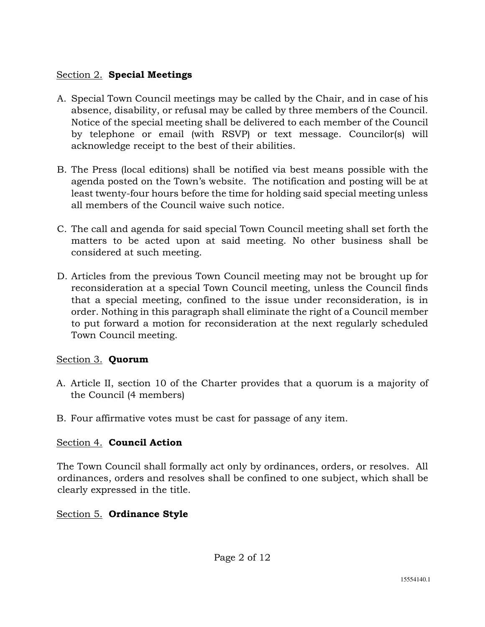# Section 2. **Special Meetings**

- A. Special Town Council meetings may be called by the Chair, and in case of his absence, disability, or refusal may be called by three members of the Council. Notice of the special meeting shall be delivered to each member of the Council by telephone or email (with RSVP) or text message. Councilor(s) will acknowledge receipt to the best of their abilities.
- B. The Press (local editions) shall be notified via best means possible with the agenda posted on the Town's website. The notification and posting will be at least twenty-four hours before the time for holding said special meeting unless all members of the Council waive such notice.
- C. The call and agenda for said special Town Council meeting shall set forth the matters to be acted upon at said meeting. No other business shall be considered at such meeting.
- D. Articles from the previous Town Council meeting may not be brought up for reconsideration at a special Town Council meeting, unless the Council finds that a special meeting, confined to the issue under reconsideration, is in order. Nothing in this paragraph shall eliminate the right of a Council member to put forward a motion for reconsideration at the next regularly scheduled Town Council meeting.

## Section 3. **Quorum**

- A. Article II, section 10 of the Charter provides that a quorum is a majority of the Council (4 members)
- B. Four affirmative votes must be cast for passage of any item.

# Section 4. **Council Action**

The Town Council shall formally act only by ordinances, orders, or resolves. All ordinances, orders and resolves shall be confined to one subject, which shall be clearly expressed in the title.

# Section 5. **Ordinance Style**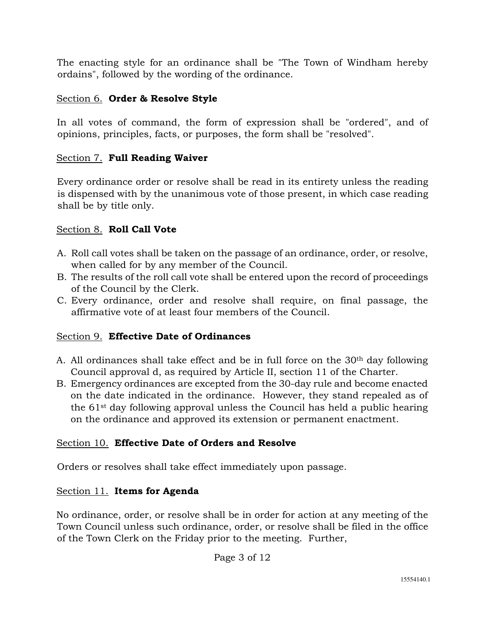The enacting style for an ordinance shall be "The Town of Windham hereby ordains", followed by the wording of the ordinance.

## Section 6. **Order & Resolve Style**

In all votes of command, the form of expression shall be "ordered", and of opinions, principles, facts, or purposes, the form shall be "resolved".

### Section 7. **Full Reading Waiver**

Every ordinance order or resolve shall be read in its entirety unless the reading is dispensed with by the unanimous vote of those present, in which case reading shall be by title only.

### Section 8. **Roll Call Vote**

- A. Roll call votes shall be taken on the passage of an ordinance, order, or resolve, when called for by any member of the Council.
- B. The results of the roll call vote shall be entered upon the record of proceedings of the Council by the Clerk.
- C. Every ordinance, order and resolve shall require, on final passage, the affirmative vote of at least four members of the Council.

## Section 9. **Effective Date of Ordinances**

- A. All ordinances shall take effect and be in full force on the 30th day following Council approval d, as required by Article II, section 11 of the Charter.
- B. Emergency ordinances are excepted from the 30-day rule and become enacted on the date indicated in the ordinance. However, they stand repealed as of the 61st day following approval unless the Council has held a public hearing on the ordinance and approved its extension or permanent enactment.

## Section 10. **Effective Date of Orders and Resolve**

Orders or resolves shall take effect immediately upon passage.

## Section 11. **Items for Agenda**

No ordinance, order, or resolve shall be in order for action at any meeting of the Town Council unless such ordinance, order, or resolve shall be filed in the office of the Town Clerk on the Friday prior to the meeting. Further,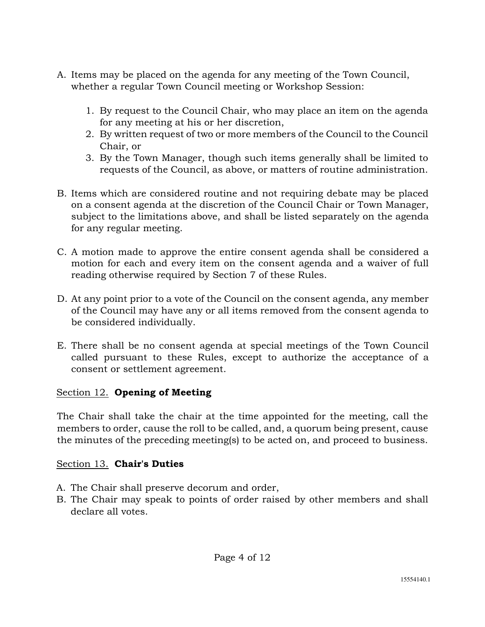- A. Items may be placed on the agenda for any meeting of the Town Council, whether a regular Town Council meeting or Workshop Session:
	- 1. By request to the Council Chair, who may place an item on the agenda for any meeting at his or her discretion,
	- 2. By written request of two or more members of the Council to the Council Chair, or
	- 3. By the Town Manager, though such items generally shall be limited to requests of the Council, as above, or matters of routine administration.
- B. Items which are considered routine and not requiring debate may be placed on a consent agenda at the discretion of the Council Chair or Town Manager, subject to the limitations above, and shall be listed separately on the agenda for any regular meeting.
- C. A motion made to approve the entire consent agenda shall be considered a motion for each and every item on the consent agenda and a waiver of full reading otherwise required by Section 7 of these Rules.
- D. At any point prior to a vote of the Council on the consent agenda, any member of the Council may have any or all items removed from the consent agenda to be considered individually.
- E. There shall be no consent agenda at special meetings of the Town Council called pursuant to these Rules, except to authorize the acceptance of a consent or settlement agreement.

### Section 12. **Opening of Meeting**

The Chair shall take the chair at the time appointed for the meeting, call the members to order, cause the roll to be called, and, a quorum being present, cause the minutes of the preceding meeting(s) to be acted on, and proceed to business.

## Section 13. **Chair's Duties**

- A. The Chair shall preserve decorum and order,
- B. The Chair may speak to points of order raised by other members and shall declare all votes.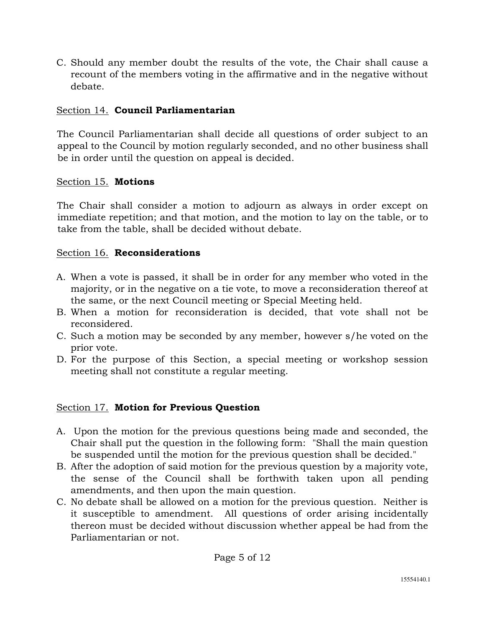C. Should any member doubt the results of the vote, the Chair shall cause a recount of the members voting in the affirmative and in the negative without debate.

# Section 14. **Council Parliamentarian**

The Council Parliamentarian shall decide all questions of order subject to an appeal to the Council by motion regularly seconded, and no other business shall be in order until the question on appeal is decided.

### Section 15. **Motions**

The Chair shall consider a motion to adjourn as always in order except on immediate repetition; and that motion, and the motion to lay on the table, or to take from the table, shall be decided without debate.

### Section 16. **Reconsiderations**

- A. When a vote is passed, it shall be in order for any member who voted in the majority, or in the negative on a tie vote, to move a reconsideration thereof at the same, or the next Council meeting or Special Meeting held.
- B. When a motion for reconsideration is decided, that vote shall not be reconsidered.
- C. Such a motion may be seconded by any member, however s/he voted on the prior vote.
- D. For the purpose of this Section, a special meeting or workshop session meeting shall not constitute a regular meeting.

## Section 17. **Motion for Previous Question**

- A. Upon the motion for the previous questions being made and seconded, the Chair shall put the question in the following form: "Shall the main question be suspended until the motion for the previous question shall be decided."
- B. After the adoption of said motion for the previous question by a majority vote, the sense of the Council shall be forthwith taken upon all pending amendments, and then upon the main question.
- C. No debate shall be allowed on a motion for the previous question. Neither is it susceptible to amendment. All questions of order arising incidentally thereon must be decided without discussion whether appeal be had from the Parliamentarian or not.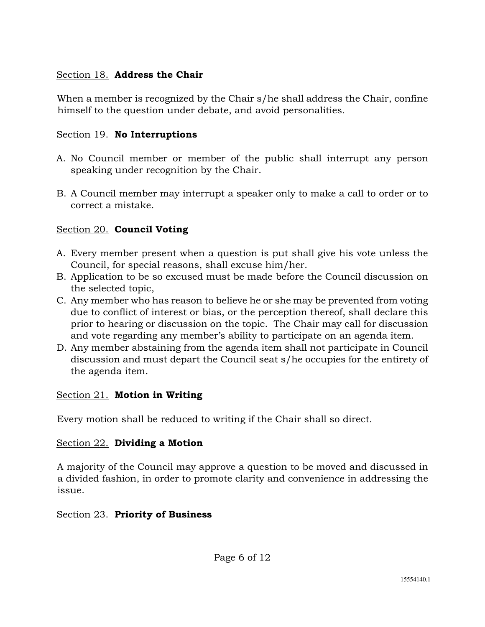## Section 18. **Address the Chair**

When a member is recognized by the Chair s/he shall address the Chair, confine himself to the question under debate, and avoid personalities.

# Section 19. **No Interruptions**

- A. No Council member or member of the public shall interrupt any person speaking under recognition by the Chair.
- B. A Council member may interrupt a speaker only to make a call to order or to correct a mistake.

# Section 20. **Council Voting**

- A. Every member present when a question is put shall give his vote unless the Council, for special reasons, shall excuse him/her.
- B. Application to be so excused must be made before the Council discussion on the selected topic,
- C. Any member who has reason to believe he or she may be prevented from voting due to conflict of interest or bias, or the perception thereof, shall declare this prior to hearing or discussion on the topic. The Chair may call for discussion and vote regarding any member's ability to participate on an agenda item.
- D. Any member abstaining from the agenda item shall not participate in Council discussion and must depart the Council seat s/he occupies for the entirety of the agenda item.

## Section 21. **Motion in Writing**

Every motion shall be reduced to writing if the Chair shall so direct.

## Section 22. **Dividing a Motion**

A majority of the Council may approve a question to be moved and discussed in a divided fashion, in order to promote clarity and convenience in addressing the issue.

## Section 23. **Priority of Business**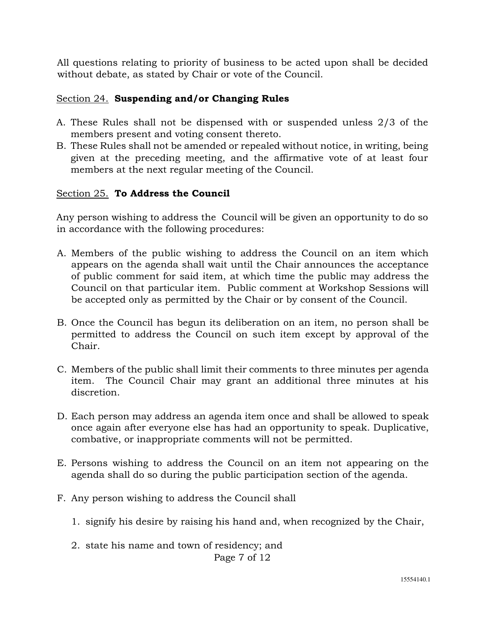All questions relating to priority of business to be acted upon shall be decided without debate, as stated by Chair or vote of the Council.

### Section 24. **Suspending and/or Changing Rules**

- A. These Rules shall not be dispensed with or suspended unless 2/3 of the members present and voting consent thereto.
- B. These Rules shall not be amended or repealed without notice, in writing, being given at the preceding meeting, and the affirmative vote of at least four members at the next regular meeting of the Council.

#### Section 25. **To Address the Council**

Any person wishing to address the Council will be given an opportunity to do so in accordance with the following procedures:

- A. Members of the public wishing to address the Council on an item which appears on the agenda shall wait until the Chair announces the acceptance of public comment for said item, at which time the public may address the Council on that particular item. Public comment at Workshop Sessions will be accepted only as permitted by the Chair or by consent of the Council.
- B. Once the Council has begun its deliberation on an item, no person shall be permitted to address the Council on such item except by approval of the Chair.
- C. Members of the public shall limit their comments to three minutes per agenda item. The Council Chair may grant an additional three minutes at his discretion.
- D. Each person may address an agenda item once and shall be allowed to speak once again after everyone else has had an opportunity to speak. Duplicative, combative, or inappropriate comments will not be permitted.
- E. Persons wishing to address the Council on an item not appearing on the agenda shall do so during the public participation section of the agenda.
- F. Any person wishing to address the Council shall
	- 1. signify his desire by raising his hand and, when recognized by the Chair,
	- Page 7 of 12 2. state his name and town of residency; and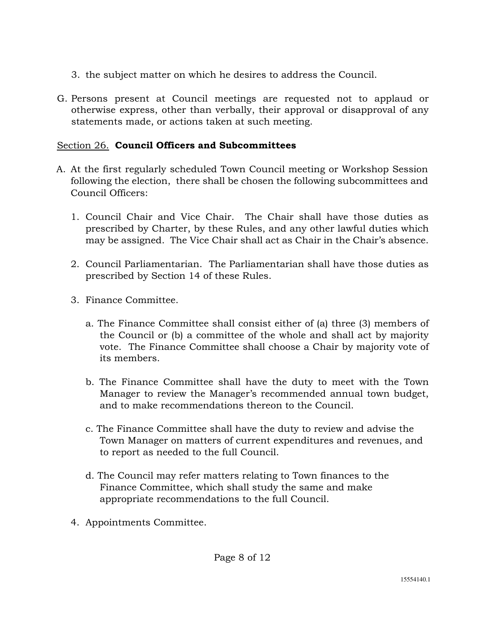- 3. the subject matter on which he desires to address the Council.
- G. Persons present at Council meetings are requested not to applaud or otherwise express, other than verbally, their approval or disapproval of any statements made, or actions taken at such meeting.

# Section 26. **Council Officers and Subcommittees**

- A. At the first regularly scheduled Town Council meeting or Workshop Session following the election, there shall be chosen the following subcommittees and Council Officers:
	- 1. Council Chair and Vice Chair. The Chair shall have those duties as prescribed by Charter, by these Rules, and any other lawful duties which may be assigned. The Vice Chair shall act as Chair in the Chair's absence.
	- 2. Council Parliamentarian. The Parliamentarian shall have those duties as prescribed by Section 14 of these Rules.
	- 3. Finance Committee.
		- a. The Finance Committee shall consist either of (a) three (3) members of the Council or (b) a committee of the whole and shall act by majority vote. The Finance Committee shall choose a Chair by majority vote of its members.
		- b. The Finance Committee shall have the duty to meet with the Town Manager to review the Manager's recommended annual town budget, and to make recommendations thereon to the Council.
		- c. The Finance Committee shall have the duty to review and advise the Town Manager on matters of current expenditures and revenues, and to report as needed to the full Council.
		- d. The Council may refer matters relating to Town finances to the Finance Committee, which shall study the same and make appropriate recommendations to the full Council.
	- 4. Appointments Committee.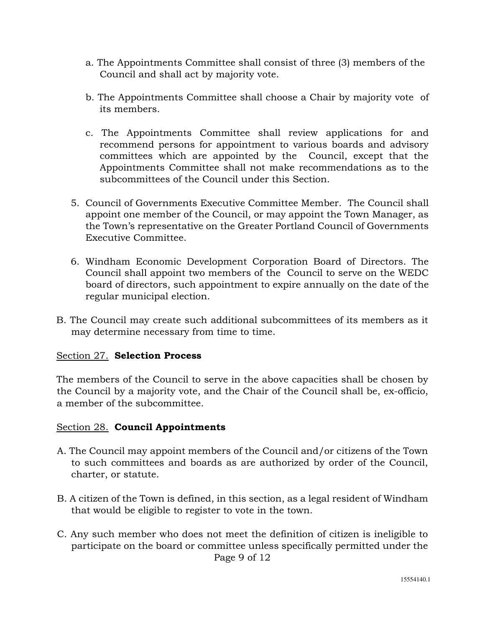- a. The Appointments Committee shall consist of three (3) members of the Council and shall act by majority vote.
- b. The Appointments Committee shall choose a Chair by majority vote of its members.
- c. The Appointments Committee shall review applications for and recommend persons for appointment to various boards and advisory committees which are appointed by the Council, except that the Appointments Committee shall not make recommendations as to the subcommittees of the Council under this Section.
- 5. Council of Governments Executive Committee Member. The Council shall appoint one member of the Council, or may appoint the Town Manager, as the Town's representative on the Greater Portland Council of Governments Executive Committee.
- 6. Windham Economic Development Corporation Board of Directors. The Council shall appoint two members of the Council to serve on the WEDC board of directors, such appointment to expire annually on the date of the regular municipal election.
- B. The Council may create such additional subcommittees of its members as it may determine necessary from time to time.

### Section 27. **Selection Process**

The members of the Council to serve in the above capacities shall be chosen by the Council by a majority vote, and the Chair of the Council shall be, ex-officio, a member of the subcommittee.

#### Section 28. **Council Appointments**

- A. The Council may appoint members of the Council and/or citizens of the Town to such committees and boards as are authorized by order of the Council, charter, or statute.
- B. A citizen of the Town is defined, in this section, as a legal resident of Windham that would be eligible to register to vote in the town.
- Page 9 of 12 C. Any such member who does not meet the definition of citizen is ineligible to participate on the board or committee unless specifically permitted under the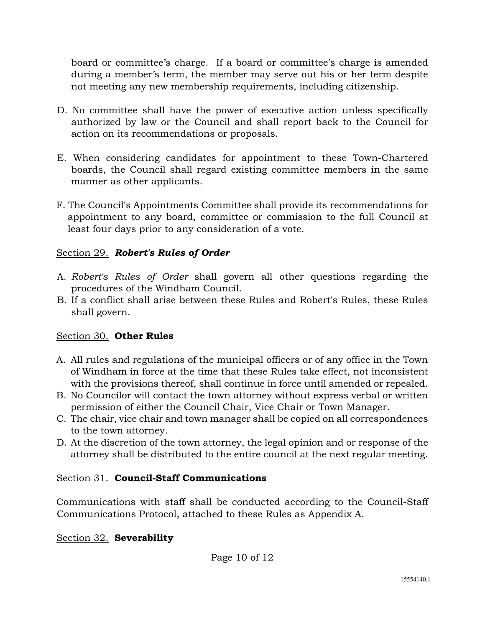board or committee's charge. If a board or committee's charge is amended during a member's term, the member may serve out his or her term despite not meeting any new membership requirements, including citizenship.

- D. No committee shall have the power of executive action unless specifically authorized by law or the Council and shall report back to the Council for action on its recommendations or proposals.
- E. When considering candidates for appointment to these Town-Chartered boards, the Council shall regard existing committee members in the same manner as other applicants.
- F. The Council's Appointments Committee shall provide its recommendations for appointment to any board, committee or commission to the full Council at least four days prior to any consideration of a vote.

## Section 29. *Robert's Rules of Order*

- A. *Robert's Rules of Order* shall govern all other questions regarding the procedures of the Windham Council.
- B. If a conflict shall arise between these Rules and Robert's Rules, these Rules shall govern.

## Section 30. **Other Rules**

- A. All rules and regulations of the municipal officers or of any office in the Town of Windham in force at the time that these Rules take effect, not inconsistent with the provisions thereof, shall continue in force until amended or repealed.
- B. No Councilor will contact the town attorney without express verbal or written permission of either the Council Chair, Vice Chair or Town Manager.
- C. The chair, vice chair and town manager shall be copied on all correspondences to the town attorney.
- D. At the discretion of the town attorney, the legal opinion and or response of the attorney shall be distributed to the entire council at the next regular meeting.

## Section 31. **Council-Staff Communications**

Communications with staff shall be conducted according to the Council-Staff Communications Protocol, attached to these Rules as Appendix A.

## Section 32. **Severability**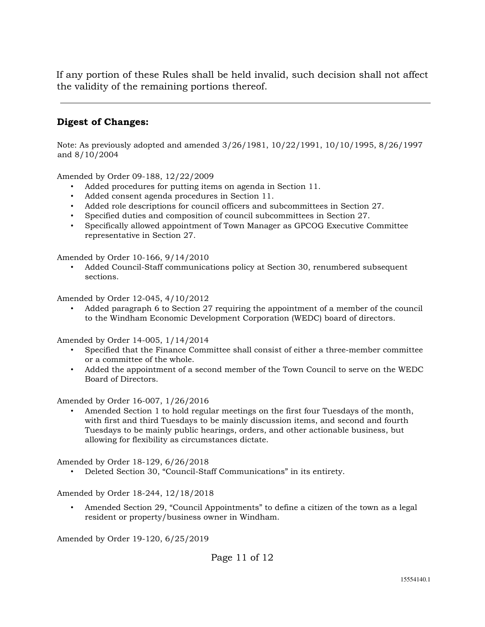If any portion of these Rules shall be held invalid, such decision shall not affect the validity of the remaining portions thereof.

### **Digest of Changes:**

Note: As previously adopted and amended 3/26/1981, 10/22/1991, 10/10/1995, 8/26/1997 and 8/10/2004

Amended by Order 09-188, 12/22/2009

- Added procedures for putting items on agenda in Section 11.
- Added consent agenda procedures in Section 11.
- Added role descriptions for council officers and subcommittees in Section 27.
- Specified duties and composition of council subcommittees in Section 27.
- Specifically allowed appointment of Town Manager as GPCOG Executive Committee representative in Section 27.

Amended by Order 10-166, 9/14/2010

• Added Council-Staff communications policy at Section 30, renumbered subsequent sections.

Amended by Order 12-045, 4/10/2012

• Added paragraph 6 to Section 27 requiring the appointment of a member of the council to the Windham Economic Development Corporation (WEDC) board of directors.

Amended by Order 14-005, 1/14/2014

- Specified that the Finance Committee shall consist of either a three-member committee or a committee of the whole.
- Added the appointment of a second member of the Town Council to serve on the WEDC Board of Directors.

Amended by Order 16-007, 1/26/2016

• Amended Section 1 to hold regular meetings on the first four Tuesdays of the month, with first and third Tuesdays to be mainly discussion items, and second and fourth Tuesdays to be mainly public hearings, orders, and other actionable business, but allowing for flexibility as circumstances dictate.

Amended by Order 18-129, 6/26/2018

• Deleted Section 30, "Council-Staff Communications" in its entirety.

Amended by Order 18-244, 12/18/2018

• Amended Section 29, "Council Appointments" to define a citizen of the town as a legal resident or property/business owner in Windham.

Amended by Order 19-120, 6/25/2019

Page 11 of 12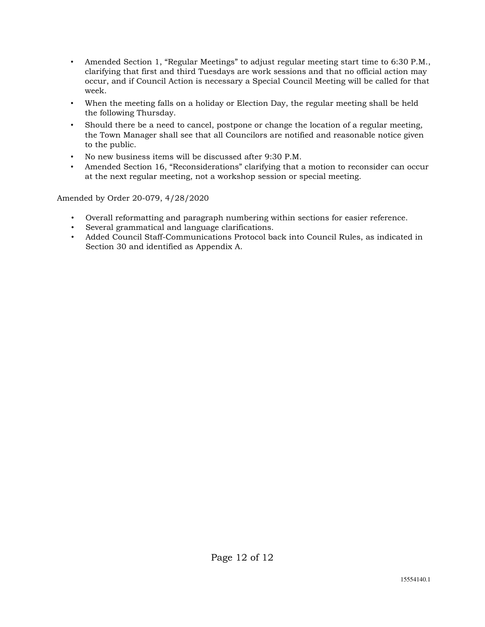- Amended Section 1, "Regular Meetings" to adjust regular meeting start time to 6:30 P.M., clarifying that first and third Tuesdays are work sessions and that no official action may occur, and if Council Action is necessary a Special Council Meeting will be called for that week.
- When the meeting falls on a holiday or Election Day, the regular meeting shall be held the following Thursday.
- Should there be a need to cancel, postpone or change the location of a regular meeting, the Town Manager shall see that all Councilors are notified and reasonable notice given to the public.
- No new business items will be discussed after 9:30 P.M.
- Amended Section 16, "Reconsiderations" clarifying that a motion to reconsider can occur at the next regular meeting, not a workshop session or special meeting.

Amended by Order 20-079, 4/28/2020

- Overall reformatting and paragraph numbering within sections for easier reference.
- Several grammatical and language clarifications.
- Added Council Staff-Communications Protocol back into Council Rules, as indicated in Section 30 and identified as Appendix A.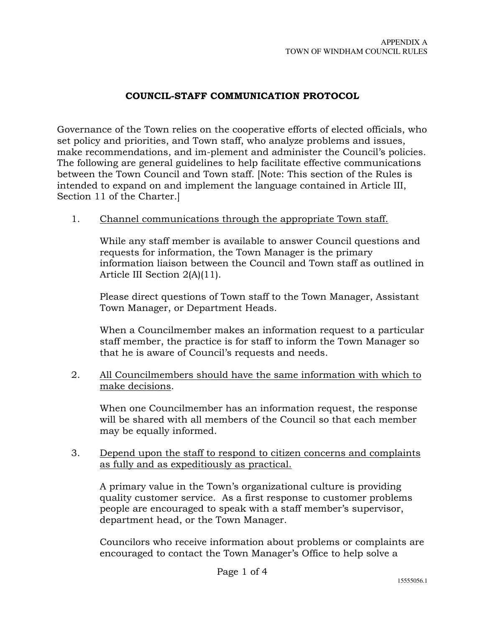### **COUNCIL-STAFF COMMUNICATION PROTOCOL**

Governance of the Town relies on the cooperative efforts of elected officials, who set policy and priorities, and Town staff, who analyze problems and issues, make recommendations, and im-plement and administer the Council's policies. The following are general guidelines to help facilitate effective communications between the Town Council and Town staff. [Note: This section of the Rules is intended to expand on and implement the language contained in Article III, Section 11 of the Charter.]

#### 1. Channel communications through the appropriate Town staff.

 While any staff member is available to answer Council questions and requests for information, the Town Manager is the primary information liaison between the Council and Town staff as outlined in Article III Section 2(A)(11).

Please direct questions of Town staff to the Town Manager, Assistant Town Manager, or Department Heads.

When a Councilmember makes an information request to a particular staff member, the practice is for staff to inform the Town Manager so that he is aware of Council's requests and needs.

2. All Councilmembers should have the same information with which to make decisions.

 When one Councilmember has an information request, the response will be shared with all members of the Council so that each member may be equally informed.

3. Depend upon the staff to respond to citizen concerns and complaints as fully and as expeditiously as practical.

 A primary value in the Town's organizational culture is providing quality customer service. As a first response to customer problems people are encouraged to speak with a staff member's supervisor, department head, or the Town Manager.

 Councilors who receive information about problems or complaints are encouraged to contact the Town Manager's Office to help solve a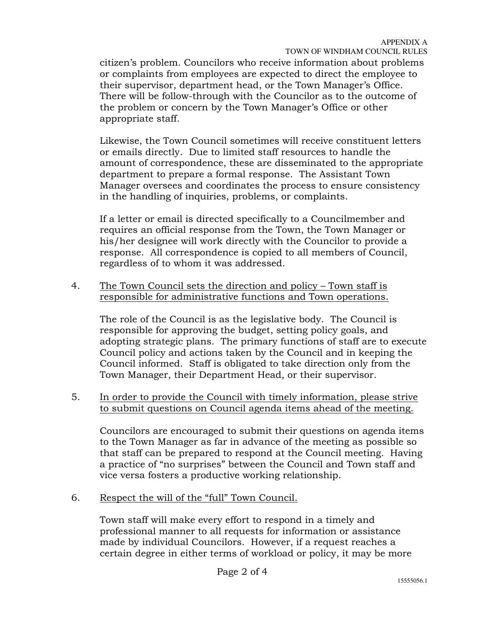citizen's problem. Councilors who receive information about problems or complaints from employees are expected to direct the employee to their supervisor, department head, or the Town Manager's Office. There will be follow-through with the Councilor as to the outcome of the problem or concern by the Town Manager's Office or other appropriate staff.

 Likewise, the Town Council sometimes will receive constituent letters or emails directly. Due to limited staff resources to handle the amount of correspondence, these are disseminated to the appropriate department to prepare a formal response. The Assistant Town Manager oversees and coordinates the process to ensure consistency in the handling of inquiries, problems, or complaints.

 If a letter or email is directed specifically to a Councilmember and requires an official response from the Town, the Town Manager or his/her designee will work directly with the Councilor to provide a response. All correspondence is copied to all members of Council, regardless of to whom it was addressed.

4. The Town Council sets the direction and policy – Town staff is responsible for administrative functions and Town operations.

 The role of the Council is as the legislative body. The Council is responsible for approving the budget, setting policy goals, and adopting strategic plans. The primary functions of staff are to execute Council policy and actions taken by the Council and in keeping the Council informed. Staff is obligated to take direction only from the Town Manager, their Department Head, or their supervisor.

5. In order to provide the Council with timely information, please strive to submit questions on Council agenda items ahead of the meeting.

 Councilors are encouraged to submit their questions on agenda items to the Town Manager as far in advance of the meeting as possible so that staff can be prepared to respond at the Council meeting. Having a practice of "no surprises" between the Council and Town staff and vice versa fosters a productive working relationship.

6. Respect the will of the "full" Town Council.

 Town staff will make every effort to respond in a timely and professional manner to all requests for information or assistance made by individual Councilors. However, if a request reaches a certain degree in either terms of workload or policy, it may be more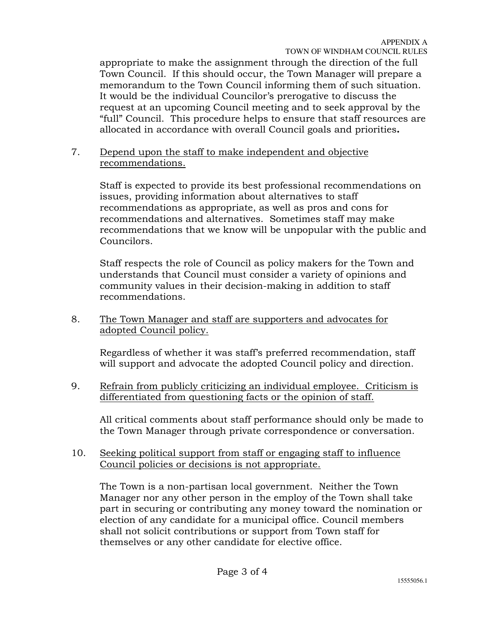appropriate to make the assignment through the direction of the full Town Council. If this should occur, the Town Manager will prepare a memorandum to the Town Council informing them of such situation. It would be the individual Councilor's prerogative to discuss the request at an upcoming Council meeting and to seek approval by the "full" Council. This procedure helps to ensure that staff resources are allocated in accordance with overall Council goals and priorities**.** 

#### 7. Depend upon the staff to make independent and objective recommendations.

 Staff is expected to provide its best professional recommendations on issues, providing information about alternatives to staff recommendations as appropriate, as well as pros and cons for recommendations and alternatives. Sometimes staff may make recommendations that we know will be unpopular with the public and Councilors.

 Staff respects the role of Council as policy makers for the Town and understands that Council must consider a variety of opinions and community values in their decision-making in addition to staff recommendations.

8. The Town Manager and staff are supporters and advocates for adopted Council policy.

 Regardless of whether it was staff's preferred recommendation, staff will support and advocate the adopted Council policy and direction.

9. Refrain from publicly criticizing an individual employee. Criticism is differentiated from questioning facts or the opinion of staff.

 All critical comments about staff performance should only be made to the Town Manager through private correspondence or conversation.

### 10. Seeking political support from staff or engaging staff to influence Council policies or decisions is not appropriate.

The Town is a non-partisan local government. Neither the Town Manager nor any other person in the employ of the Town shall take part in securing or contributing any money toward the nomination or election of any candidate for a municipal office. Council members shall not solicit contributions or support from Town staff for themselves or any other candidate for elective office.